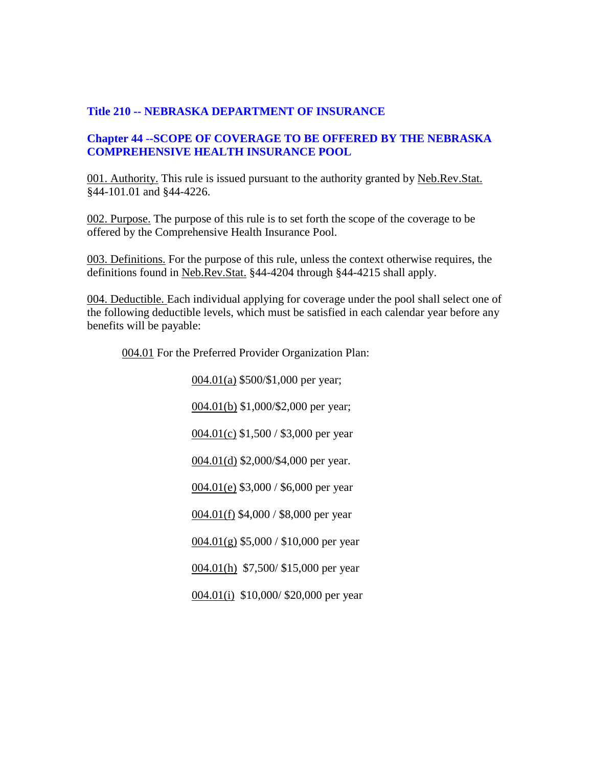## **Title 210 -- NEBRASKA DEPARTMENT OF INSURANCE**

# **Chapter 44 --SCOPE OF COVERAGE TO BE OFFERED BY THE NEBRASKA COMPREHENSIVE HEALTH INSURANCE POOL**

001. Authority. This rule is issued pursuant to the authority granted by Neb.Rev.Stat. §44-101.01 and §44-4226.

002. Purpose. The purpose of this rule is to set forth the scope of the coverage to be offered by the Comprehensive Health Insurance Pool.

003. Definitions. For the purpose of this rule, unless the context otherwise requires, the definitions found in Neb.Rev.Stat. §44-4204 through §44-4215 shall apply.

004. Deductible. Each individual applying for coverage under the pool shall select one of the following deductible levels, which must be satisfied in each calendar year before any benefits will be payable:

004.01 For the Preferred Provider Organization Plan:

004.01(a) \$500/\$1,000 per year; 004.01(b) \$1,000/\$2,000 per year; 004.01(c) \$1,500 / \$3,000 per year 004.01(d) \$2,000/\$4,000 per year. 004.01(e) \$3,000 / \$6,000 per year 004.01(f) \$4,000 / \$8,000 per year  $0.04(0.01)(g)$  \$5,000 / \$10,000 per year 004.01(h) \$7,500/ \$15,000 per year 004.01(i) \$10,000/ \$20,000 per year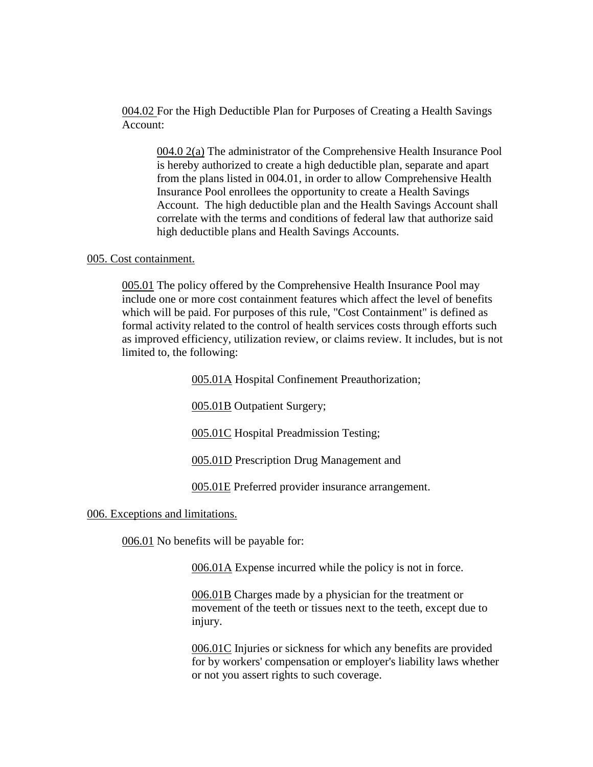004.02 For the High Deductible Plan for Purposes of Creating a Health Savings Account:

004.0 2(a) The administrator of the Comprehensive Health Insurance Pool is hereby authorized to create a high deductible plan, separate and apart from the plans listed in 004.01, in order to allow Comprehensive Health Insurance Pool enrollees the opportunity to create a Health Savings Account. The high deductible plan and the Health Savings Account shall correlate with the terms and conditions of federal law that authorize said high deductible plans and Health Savings Accounts.

### 005. Cost containment.

005.01 The policy offered by the Comprehensive Health Insurance Pool may include one or more cost containment features which affect the level of benefits which will be paid. For purposes of this rule, "Cost Containment" is defined as formal activity related to the control of health services costs through efforts such as improved efficiency, utilization review, or claims review. It includes, but is not limited to, the following:

005.01A Hospital Confinement Preauthorization;

005.01B Outpatient Surgery;

005.01C Hospital Preadmission Testing;

005.01D Prescription Drug Management and

005.01E Preferred provider insurance arrangement.

006. Exceptions and limitations.

006.01 No benefits will be payable for:

006.01A Expense incurred while the policy is not in force.

006.01B Charges made by a physician for the treatment or movement of the teeth or tissues next to the teeth, except due to injury.

006.01C Injuries or sickness for which any benefits are provided for by workers' compensation or employer's liability laws whether or not you assert rights to such coverage.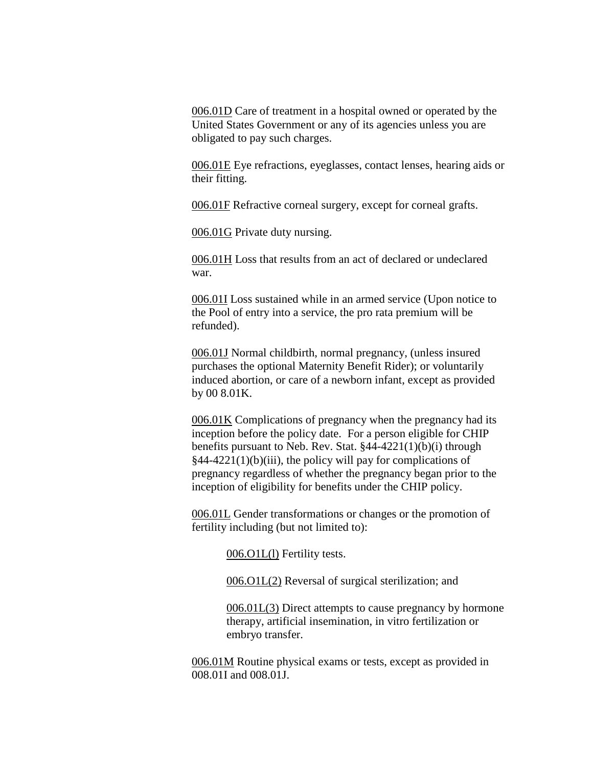006.01D Care of treatment in a hospital owned or operated by the United States Government or any of its agencies unless you are obligated to pay such charges.

006.01E Eye refractions, eyeglasses, contact lenses, hearing aids or their fitting.

006.01F Refractive corneal surgery, except for corneal grafts.

006.01G Private duty nursing.

006.01H Loss that results from an act of declared or undeclared war.

006.01I Loss sustained while in an armed service (Upon notice to the Pool of entry into a service, the pro rata premium will be refunded).

006.01J Normal childbirth, normal pregnancy, (unless insured purchases the optional Maternity Benefit Rider); or voluntarily induced abortion, or care of a newborn infant, except as provided by 00 8.01K.

006.01K Complications of pregnancy when the pregnancy had its inception before the policy date. For a person eligible for CHIP benefits pursuant to Neb. Rev. Stat. §44-4221(1)(b)(i) through  $§44-4221(1)(b)(iii)$ , the policy will pay for complications of pregnancy regardless of whether the pregnancy began prior to the inception of eligibility for benefits under the CHIP policy.

006.01L Gender transformations or changes or the promotion of fertility including (but not limited to):

006.O1L(l) Fertility tests.

006.O1L(2) Reversal of surgical sterilization; and

006.01L(3) Direct attempts to cause pregnancy by hormone therapy, artificial insemination, in vitro fertilization or embryo transfer.

006.01M Routine physical exams or tests, except as provided in 008.01I and 008.01J.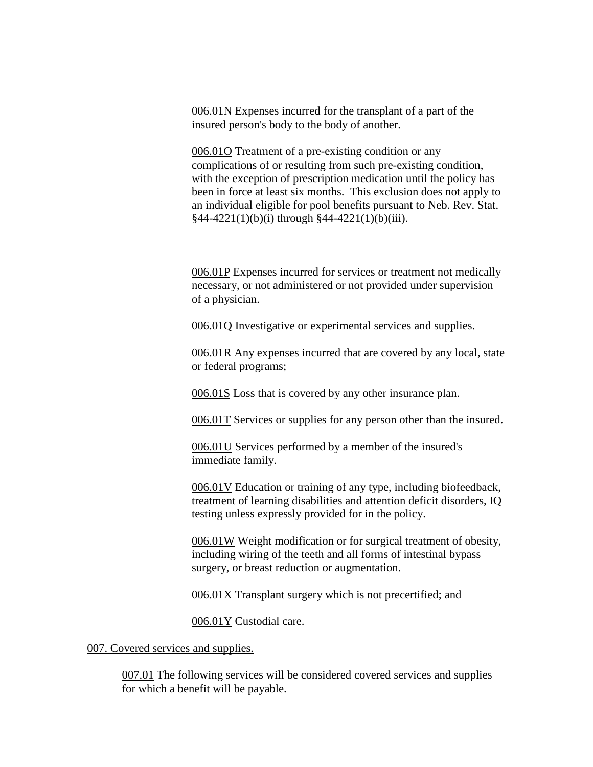006.01N Expenses incurred for the transplant of a part of the insured person's body to the body of another.

006.01O Treatment of a pre-existing condition or any complications of or resulting from such pre-existing condition, with the exception of prescription medication until the policy has been in force at least six months. This exclusion does not apply to an individual eligible for pool benefits pursuant to Neb. Rev. Stat.  $§44-4221(1)(b)(i)$  through  $§44-4221(1)(b)(iii)$ .

006.01P Expenses incurred for services or treatment not medically necessary, or not administered or not provided under supervision of a physician.

006.01Q Investigative or experimental services and supplies.

006.01R Any expenses incurred that are covered by any local, state or federal programs;

006.01S Loss that is covered by any other insurance plan.

006.01T Services or supplies for any person other than the insured.

006.01U Services performed by a member of the insured's immediate family.

006.01V Education or training of any type, including biofeedback, treatment of learning disabilities and attention deficit disorders, IQ testing unless expressly provided for in the policy.

006.01W Weight modification or for surgical treatment of obesity, including wiring of the teeth and all forms of intestinal bypass surgery, or breast reduction or augmentation.

006.01X Transplant surgery which is not precertified; and

006.01Y Custodial care.

007. Covered services and supplies.

007.01 The following services will be considered covered services and supplies for which a benefit will be payable.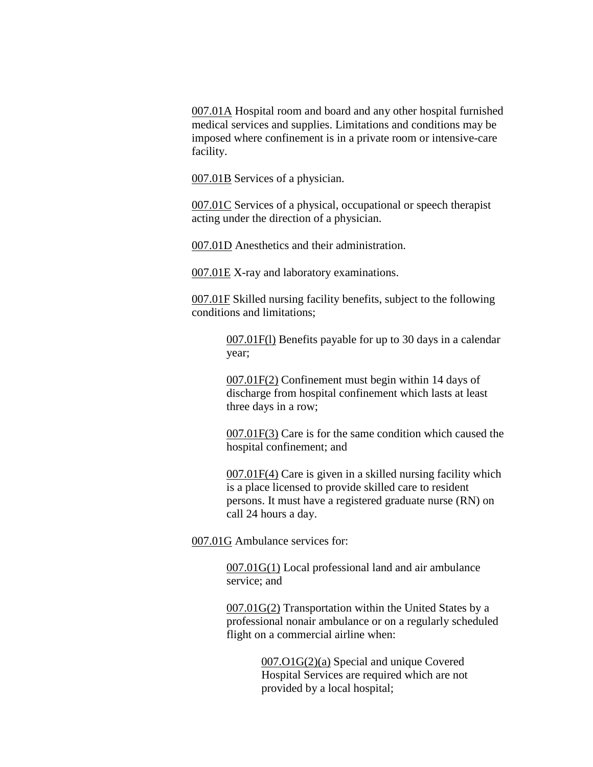007.01A Hospital room and board and any other hospital furnished medical services and supplies. Limitations and conditions may be imposed where confinement is in a private room or intensive-care facility.

007.01B Services of a physician.

007.01C Services of a physical, occupational or speech therapist acting under the direction of a physician.

007.01D Anesthetics and their administration.

007.01E X-ray and laboratory examinations.

007.01F Skilled nursing facility benefits, subject to the following conditions and limitations;

> 007.01F(l) Benefits payable for up to 30 days in a calendar year;

007.01F(2) Confinement must begin within 14 days of discharge from hospital confinement which lasts at least three days in a row;

007.01F(3) Care is for the same condition which caused the hospital confinement; and

007.01F(4) Care is given in a skilled nursing facility which is a place licensed to provide skilled care to resident persons. It must have a registered graduate nurse (RN) on call 24 hours a day.

007.01G Ambulance services for:

007.01G(1) Local professional land and air ambulance service; and

007.01G(2) Transportation within the United States by a professional nonair ambulance or on a regularly scheduled flight on a commercial airline when:

> 007.O1G(2)(a) Special and unique Covered Hospital Services are required which are not provided by a local hospital;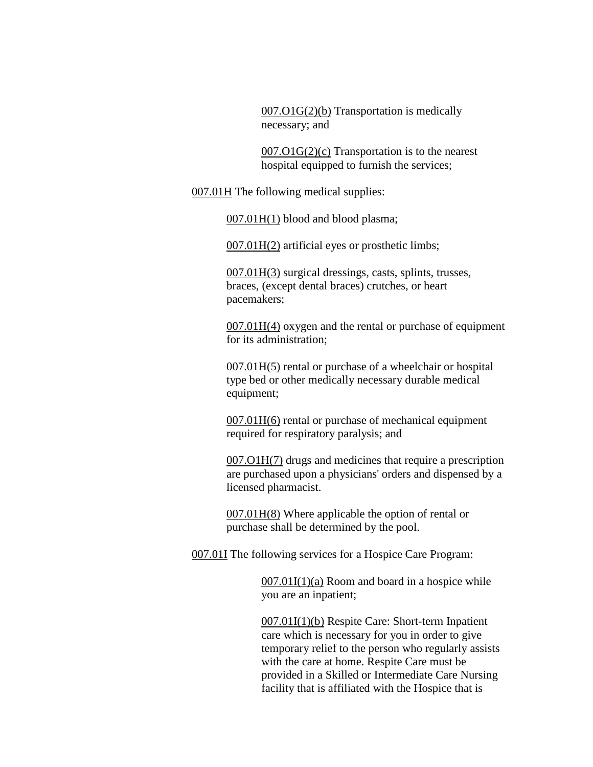007.O1G(2)(b) Transportation is medically necessary; and

007.O1G(2)(c) Transportation is to the nearest hospital equipped to furnish the services;

007.01H The following medical supplies:

007.01H(1) blood and blood plasma;

007.01H(2) artificial eyes or prosthetic limbs;

007.01H(3) surgical dressings, casts, splints, trusses, braces, (except dental braces) crutches, or heart pacemakers;

007.01H(4) oxygen and the rental or purchase of equipment for its administration;

007.01H(5) rental or purchase of a wheelchair or hospital type bed or other medically necessary durable medical equipment;

007.01H(6) rental or purchase of mechanical equipment required for respiratory paralysis; and

007.O1H(7) drugs and medicines that require a prescription are purchased upon a physicians' orders and dispensed by a licensed pharmacist.

007.01H(8) Where applicable the option of rental or purchase shall be determined by the pool.

007.01I The following services for a Hospice Care Program:

 $007.01I(1)(a)$  Room and board in a hospice while you are an inpatient;

007.01I(1)(b) Respite Care: Short-term Inpatient care which is necessary for you in order to give temporary relief to the person who regularly assists with the care at home. Respite Care must be provided in a Skilled or Intermediate Care Nursing facility that is affiliated with the Hospice that is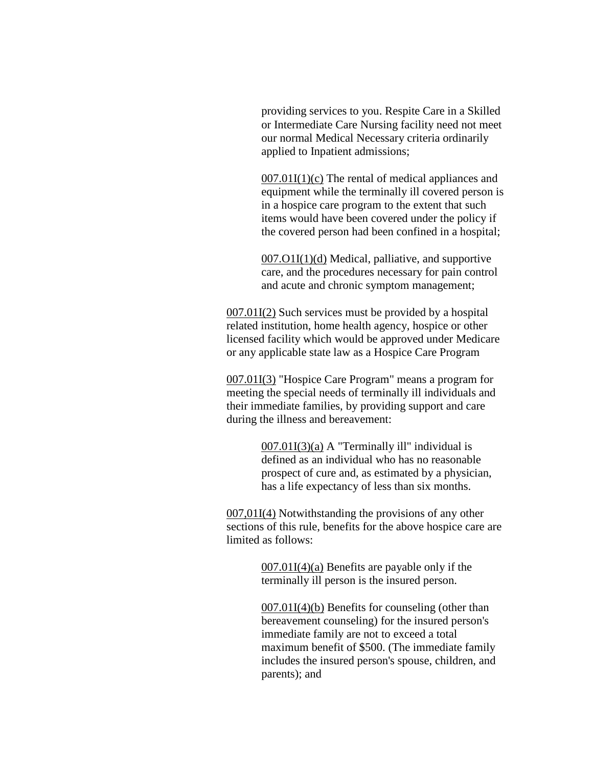providing services to you. Respite Care in a Skilled or Intermediate Care Nursing facility need not meet our normal Medical Necessary criteria ordinarily applied to Inpatient admissions;

 $007.01I(1)(c)$  The rental of medical appliances and equipment while the terminally ill covered person is in a hospice care program to the extent that such items would have been covered under the policy if the covered person had been confined in a hospital;

007.O1I(1)(d) Medical, palliative, and supportive care, and the procedures necessary for pain control and acute and chronic symptom management;

007.01I(2) Such services must be provided by a hospital related institution, home health agency, hospice or other licensed facility which would be approved under Medicare or any applicable state law as a Hospice Care Program

007.01I(3) "Hospice Care Program" means a program for meeting the special needs of terminally ill individuals and their immediate families, by providing support and care during the illness and bereavement:

> $007.01I(3)(a)$  A "Terminally ill" individual is defined as an individual who has no reasonable prospect of cure and, as estimated by a physician, has a life expectancy of less than six months.

007,01I(4) Notwithstanding the provisions of any other sections of this rule, benefits for the above hospice care are limited as follows:

> 007.01I(4)(a) Benefits are payable only if the terminally ill person is the insured person.

007.01I(4)(b) Benefits for counseling (other than bereavement counseling) for the insured person's immediate family are not to exceed a total maximum benefit of \$500. (The immediate family includes the insured person's spouse, children, and parents); and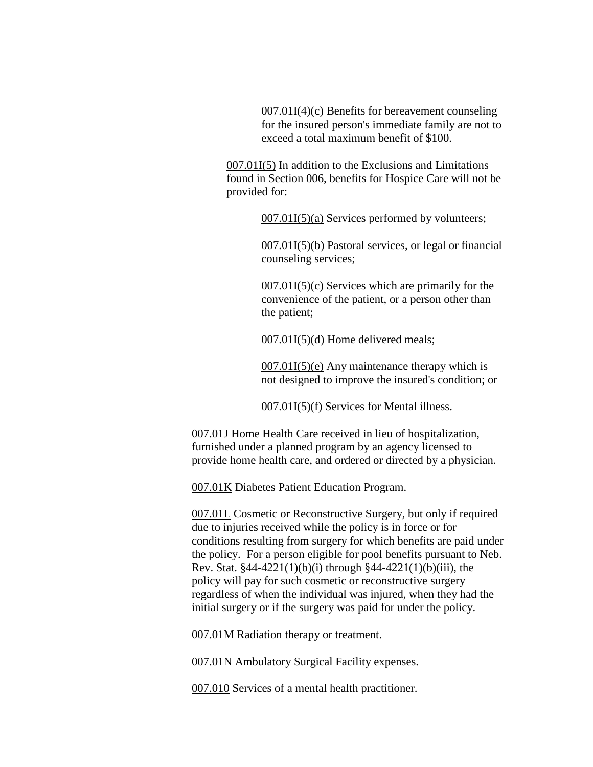007.01I(4)(c) Benefits for bereavement counseling for the insured person's immediate family are not to exceed a total maximum benefit of \$100.

007.01I(5) In addition to the Exclusions and Limitations found in Section 006, benefits for Hospice Care will not be provided for:

 $007.01I(5)$ (a) Services performed by volunteers;

007.01I(5)(b) Pastoral services, or legal or financial counseling services;

007.01I(5)(c) Services which are primarily for the convenience of the patient, or a person other than the patient;

007.01I(5)(d) Home delivered meals;

 $007.01I(5)$ (e) Any maintenance therapy which is not designed to improve the insured's condition; or

007.01I(5)(f) Services for Mental illness.

007.01J Home Health Care received in lieu of hospitalization, furnished under a planned program by an agency licensed to provide home health care, and ordered or directed by a physician.

007.01K Diabetes Patient Education Program.

007.01L Cosmetic or Reconstructive Surgery, but only if required due to injuries received while the policy is in force or for conditions resulting from surgery for which benefits are paid under the policy. For a person eligible for pool benefits pursuant to Neb. Rev. Stat.  $§44-4221(1)(b)(i)$  through  $§44-4221(1)(b)(iii)$ , the policy will pay for such cosmetic or reconstructive surgery regardless of when the individual was injured, when they had the initial surgery or if the surgery was paid for under the policy.

007.01M Radiation therapy or treatment.

007.01N Ambulatory Surgical Facility expenses.

007.010 Services of a mental health practitioner.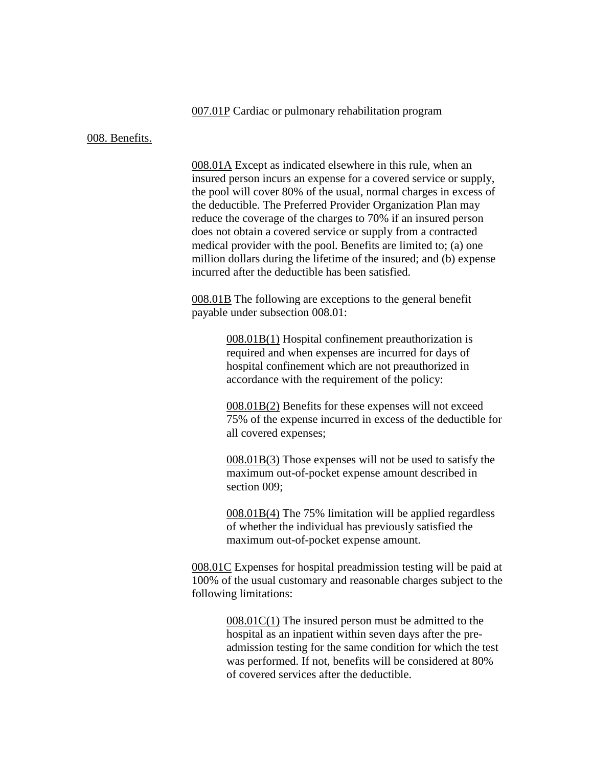007.01P Cardiac or pulmonary rehabilitation program

#### 008. Benefits.

008.01A Except as indicated elsewhere in this rule, when an insured person incurs an expense for a covered service or supply, the pool will cover 80% of the usual, normal charges in excess of the deductible. The Preferred Provider Organization Plan may reduce the coverage of the charges to 70% if an insured person does not obtain a covered service or supply from a contracted medical provider with the pool. Benefits are limited to; (a) one million dollars during the lifetime of the insured; and (b) expense incurred after the deductible has been satisfied.

008.01B The following are exceptions to the general benefit payable under subsection 008.01:

> 008.01B(1) Hospital confinement preauthorization is required and when expenses are incurred for days of hospital confinement which are not preauthorized in accordance with the requirement of the policy:

008.01B(2) Benefits for these expenses will not exceed 75% of the expense incurred in excess of the deductible for all covered expenses;

008.01B(3) Those expenses will not be used to satisfy the maximum out-of-pocket expense amount described in section 009;

008.01B(4) The 75% limitation will be applied regardless of whether the individual has previously satisfied the maximum out-of-pocket expense amount.

008.01C Expenses for hospital preadmission testing will be paid at 100% of the usual customary and reasonable charges subject to the following limitations:

> 008.01C(1) The insured person must be admitted to the hospital as an inpatient within seven days after the preadmission testing for the same condition for which the test was performed. If not, benefits will be considered at 80% of covered services after the deductible.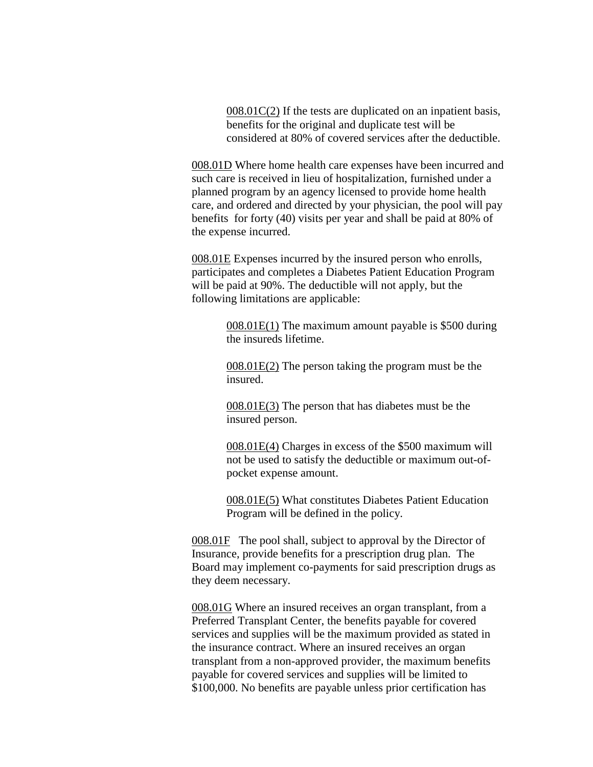008.01C(2) If the tests are duplicated on an inpatient basis, benefits for the original and duplicate test will be considered at 80% of covered services after the deductible.

008.01D Where home health care expenses have been incurred and such care is received in lieu of hospitalization, furnished under a planned program by an agency licensed to provide home health care, and ordered and directed by your physician, the pool will pay benefits for forty (40) visits per year and shall be paid at 80% of the expense incurred.

008.01E Expenses incurred by the insured person who enrolls, participates and completes a Diabetes Patient Education Program will be paid at 90%. The deductible will not apply, but the following limitations are applicable:

> 008.01E(1) The maximum amount payable is \$500 during the insureds lifetime.

008.01E(2) The person taking the program must be the insured.

008.01E(3) The person that has diabetes must be the insured person.

008.01E(4) Charges in excess of the \$500 maximum will not be used to satisfy the deductible or maximum out-ofpocket expense amount.

008.01E(5) What constitutes Diabetes Patient Education Program will be defined in the policy.

008.01F The pool shall, subject to approval by the Director of Insurance, provide benefits for a prescription drug plan. The Board may implement co-payments for said prescription drugs as they deem necessary.

008.01G Where an insured receives an organ transplant, from a Preferred Transplant Center, the benefits payable for covered services and supplies will be the maximum provided as stated in the insurance contract. Where an insured receives an organ transplant from a non-approved provider, the maximum benefits payable for covered services and supplies will be limited to \$100,000. No benefits are payable unless prior certification has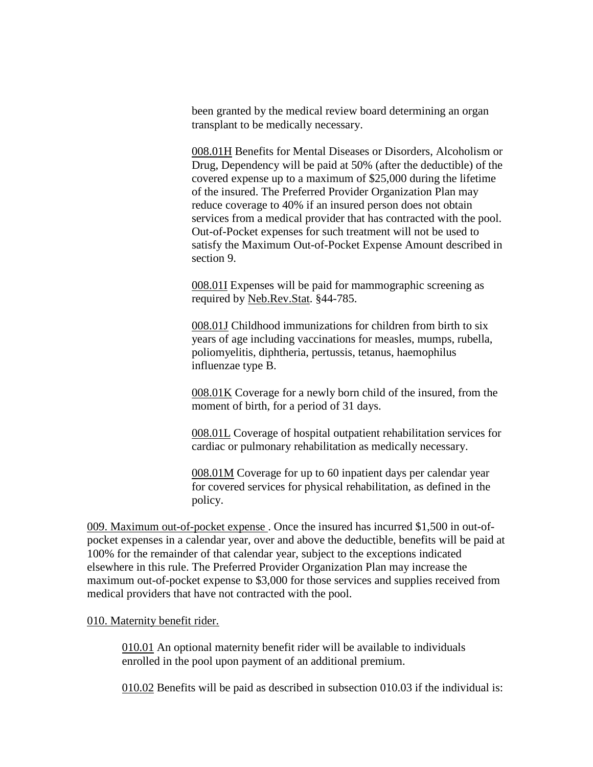been granted by the medical review board determining an organ transplant to be medically necessary.

008.01H Benefits for Mental Diseases or Disorders, Alcoholism or Drug, Dependency will be paid at 50% (after the deductible) of the covered expense up to a maximum of \$25,000 during the lifetime of the insured. The Preferred Provider Organization Plan may reduce coverage to 40% if an insured person does not obtain services from a medical provider that has contracted with the pool. Out-of-Pocket expenses for such treatment will not be used to satisfy the Maximum Out-of-Pocket Expense Amount described in section 9.

008.01I Expenses will be paid for mammographic screening as required by Neb.Rev.Stat. §44-785.

008.01J Childhood immunizations for children from birth to six years of age including vaccinations for measles, mumps, rubella, poliomyelitis, diphtheria, pertussis, tetanus, haemophilus influenzae type B.

008.01K Coverage for a newly born child of the insured, from the moment of birth, for a period of 31 days.

008.01L Coverage of hospital outpatient rehabilitation services for cardiac or pulmonary rehabilitation as medically necessary.

008.01M Coverage for up to 60 inpatient days per calendar year for covered services for physical rehabilitation, as defined in the policy.

009. Maximum out-of-pocket expense . Once the insured has incurred \$1,500 in out-ofpocket expenses in a calendar year, over and above the deductible, benefits will be paid at 100% for the remainder of that calendar year, subject to the exceptions indicated elsewhere in this rule. The Preferred Provider Organization Plan may increase the maximum out-of-pocket expense to \$3,000 for those services and supplies received from medical providers that have not contracted with the pool.

### 010. Maternity benefit rider.

010.01 An optional maternity benefit rider will be available to individuals enrolled in the pool upon payment of an additional premium.

010.02 Benefits will be paid as described in subsection 010.03 if the individual is: